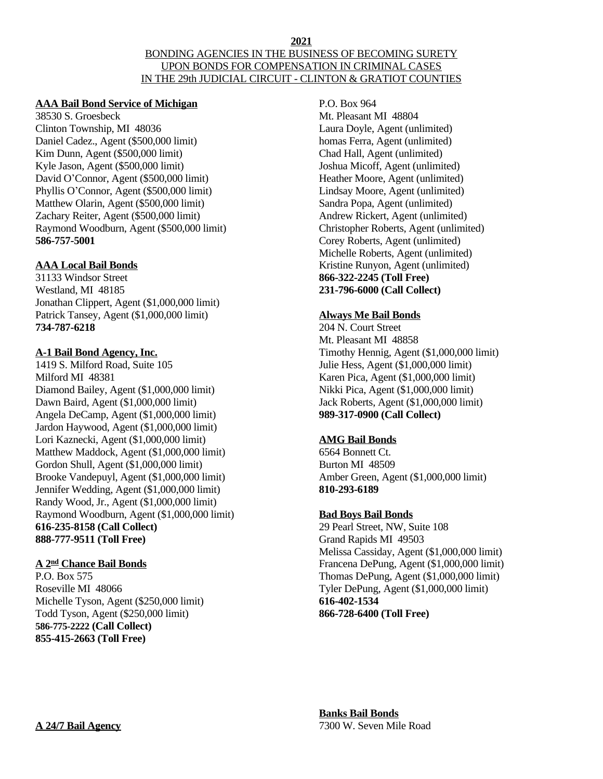#### **2021** BONDING AGENCIES IN THE BUSINESS OF BECOMING SURETY UPON BONDS FOR COMPENSATION IN CRIMINAL CASES IN THE 29th JUDICIAL CIRCUIT - CLINTON & GRATIOT COUNTIES

### **AAA Bail Bond Service of Michigan**

38530 S. Groesbeck Clinton Township, MI 48036 Daniel Cadez., Agent (\$500,000 limit) Kim Dunn, Agent (\$500,000 limit) Kyle Jason, Agent (\$500,000 limit) David O'Connor, Agent (\$500,000 limit) Phyllis O'Connor, Agent (\$500,000 limit) Matthew Olarin, Agent (\$500,000 limit) Zachary Reiter, Agent (\$500,000 limit) Raymond Woodburn, Agent (\$500,000 limit) **586-757-5001**

## **AAA Local Bail Bonds**

31133 Windsor Street Westland, MI 48185 Jonathan Clippert, Agent (\$1,000,000 limit) Patrick Tansey, Agent (\$1,000,000 limit) **734-787-6218**

### **A-1 Bail Bond Agency, Inc.**

1419 S. Milford Road, Suite 105 Milford MI 48381 Diamond Bailey, Agent (\$1,000,000 limit) Dawn Baird, Agent (\$1,000,000 limit) Angela DeCamp, Agent (\$1,000,000 limit) Jardon Haywood, Agent (\$1,000,000 limit) Lori Kaznecki, Agent (\$1,000,000 limit) Matthew Maddock, Agent (\$1,000,000 limit) Gordon Shull, Agent (\$1,000,000 limit) Brooke Vandepuyl, Agent (\$1,000,000 limit) Jennifer Wedding, Agent (\$1,000,000 limit) Randy Wood, Jr., Agent (\$1,000,000 limit) Raymond Woodburn, Agent (\$1,000,000 limit) **616-235-8158 (Call Collect) 888-777-9511 (Toll Free)**

# **A 2 nd Chance Bail Bonds**

P.O. Box 575 Roseville MI 48066 Michelle Tyson, Agent (\$250,000 limit) Todd Tyson, Agent (\$250,000 limit) **586-775-2222 (Call Collect) 855-415-2663 (Toll Free)**

P.O. Box 964 Mt. Pleasant MI 48804 Laura Doyle, Agent (unlimited) homas Ferra, Agent (unlimited) Chad Hall, Agent (unlimited) Joshua Micoff, Agent (unlimited) Heather Moore, Agent (unlimited) Lindsay Moore, Agent (unlimited) Sandra Popa, Agent (unlimited) Andrew Rickert, Agent (unlimited) Christopher Roberts, Agent (unlimited) Corey Roberts, Agent (unlimited) Michelle Roberts, Agent (unlimited) Kristine Runyon, Agent (unlimited) **866-322-2245 (Toll Free) 231-796-6000 (Call Collect)**

## **Always Me Bail Bonds**

204 N. Court Street Mt. Pleasant MI 48858 Timothy Hennig, Agent (\$1,000,000 limit) Julie Hess, Agent (\$1,000,000 limit) Karen Pica, Agent (\$1,000,000 limit) Nikki Pica, Agent (\$1,000,000 limit) Jack Roberts, Agent (\$1,000,000 limit) **989-317-0900 (Call Collect)**

# **AMG Bail Bonds**

6564 Bonnett Ct. Burton MI 48509 Amber Green, Agent (\$1,000,000 limit) **810-293-6189**

# **Bad Boys Bail Bonds**

29 Pearl Street, NW, Suite 108 Grand Rapids MI 49503 Melissa Cassiday, Agent (\$1,000,000 limit) Francena DePung, Agent (\$1,000,000 limit) Thomas DePung, Agent (\$1,000,000 limit) Tyler DePung, Agent (\$1,000,000 limit) **616-402-1534 866-728-6400 (Toll Free)**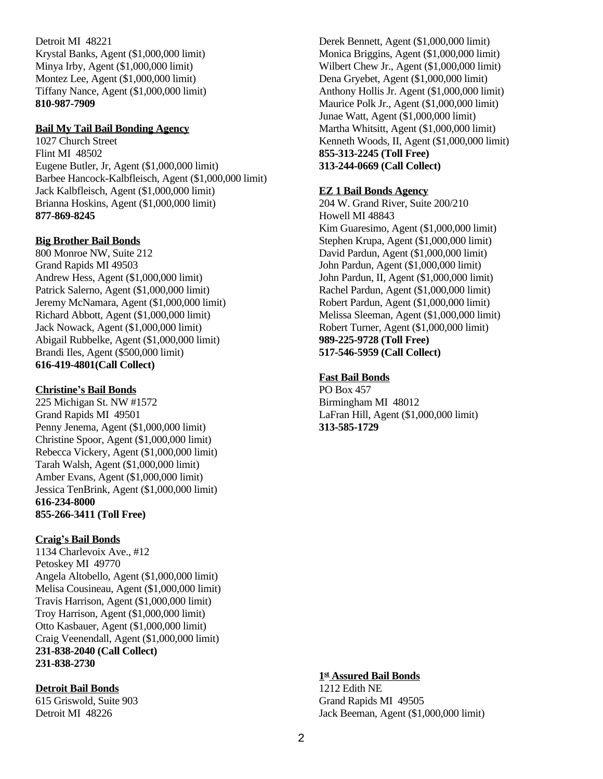Detroit MI 48221 Krystal Banks, Agent (\$1,000,000 limit) Minya Irby, Agent (\$1,000,000 limit) Montez Lee, Agent (\$1,000,000 limit) Tiffany Nance, Agent (\$1,000,000 limit) **810-987-7909**

#### **Bail My Tail Bail Bonding Agency**

1027 Church Street Flint MI 48502 Eugene Butler, Jr, Agent (\$1,000,000 limit) Barbee Hancock-Kalbfleisch, Agent (\$1,000,000 limit) Jack Kalbfleisch, Agent (\$1,000,000 limit) Brianna Hoskins, Agent (\$1,000,000 limit) **877-869-8245**

### **Big Brother Bail Bonds**

800 Monroe NW, Suite 212 Grand Rapids MI 49503 Andrew Hess, Agent (\$1,000,000 limit) Patrick Salerno, Agent (\$1,000,000 limit) Jeremy McNamara, Agent (\$1,000,000 limit) Richard Abbott, Agent (\$1,000,000 limit) Jack Nowack, Agent (\$1,000,000 limit) Abigail Rubbelke, Agent (\$1,000,000 limit) Brandi Iles, Agent (\$500,000 limit) **616-419-4801(Call Collect)**

#### **Christine's Bail Bonds**

225 Michigan St. NW #1572 Grand Rapids MI 49501 Penny Jenema, Agent (\$1,000,000 limit) Christine Spoor, Agent (\$1,000,000 limit) Rebecca Vickery, Agent (\$1,000,000 limit) Tarah Walsh, Agent (\$1,000,000 limit) Amber Evans, Agent (\$1,000,000 limit) Jessica TenBrink, Agent (\$1,000,000 limit) **616-234-8000 855-266-3411 (Toll Free)**

### **Craig's Bail Bonds**

1134 Charlevoix Ave., #12 Petoskey MI 49770 Angela Altobello, Agent (\$1,000,000 limit) Melisa Cousineau, Agent (\$1,000,000 limit) Travis Harrison, Agent (\$1,000,000 limit) Troy Harrison, Agent (\$1,000,000 limit) Otto Kasbauer, Agent (\$1,000,000 limit) Craig Veenendall, Agent (\$1,000,000 limit) **231-838-2040 (Call Collect) 231-838-2730**

### **Detroit Bail Bonds**

615 Griswold, Suite 903 Detroit MI 48226

Derek Bennett, Agent (\$1,000,000 limit) Monica Briggins, Agent (\$1,000,000 limit) Wilbert Chew Jr., Agent (\$1,000,000 limit) Dena Gryebet, Agent (\$1,000,000 limit) Anthony Hollis Jr. Agent (\$1,000,000 limit) Maurice Polk Jr., Agent (\$1,000,000 limit) Junae Watt, Agent (\$1,000,000 limit) Martha Whitsitt, Agent (\$1,000,000 limit) Kenneth Woods, II, Agent (\$1,000,000 limit) **855-313-2245 (Toll Free) 313-244-0669 (Call Collect)**

# **EZ 1 Bail Bonds Agency**

204 W. Grand River, Suite 200/210 Howell MI 48843 Kim Guaresimo, Agent (\$1,000,000 limit) Stephen Krupa, Agent (\$1,000,000 limit) David Pardun, Agent (\$1,000,000 limit) John Pardun, Agent (\$1,000,000 limit) John Pardun, II, Agent (\$1,000,000 limit) Rachel Pardun, Agent (\$1,000,000 limit) Robert Pardun, Agent (\$1,000,000 limit) Melissa Sleeman, Agent (\$1,000,000 limit) Robert Turner, Agent (\$1,000,000 limit) **989-225-9728 (Toll Free) 517-546-5959 (Call Collect)**

## **Fast Bail Bonds**

PO Box 457 Birmingham MI 48012 LaFran Hill, Agent (\$1,000,000 limit) **313-585-1729**

### **1 st Assured Bail Bonds**

1212 Edith NE Grand Rapids MI 49505 Jack Beeman, Agent (\$1,000,000 limit)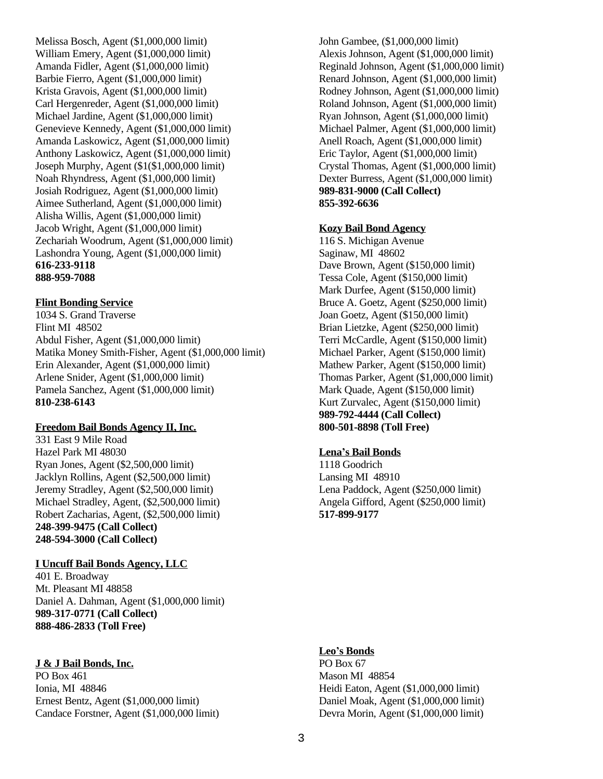Melissa Bosch, Agent (\$1,000,000 limit) William Emery, Agent (\$1,000,000 limit) Amanda Fidler, Agent (\$1,000,000 limit) Barbie Fierro, Agent (\$1,000,000 limit) Krista Gravois, Agent (\$1,000,000 limit) Carl Hergenreder, Agent (\$1,000,000 limit) Michael Jardine, Agent (\$1,000,000 limit) Genevieve Kennedy, Agent (\$1,000,000 limit) Amanda Laskowicz, Agent (\$1,000,000 limit) Anthony Laskowicz, Agent (\$1,000,000 limit) Joseph Murphy, Agent (\$1(\$1,000,000 limit) Noah Rhyndress, Agent (\$1,000,000 limit) Josiah Rodriguez, Agent (\$1,000,000 limit) Aimee Sutherland, Agent (\$1,000,000 limit) Alisha Willis, Agent (\$1,000,000 limit) Jacob Wright, Agent (\$1,000,000 limit) Zechariah Woodrum, Agent (\$1,000,000 limit) Lashondra Young, Agent (\$1,000,000 limit) **616-233-9118 888-959-7088**

## **Flint Bonding Service**

1034 S. Grand Traverse Flint MI 48502 Abdul Fisher, Agent (\$1,000,000 limit) Matika Money Smith-Fisher, Agent (\$1,000,000 limit) Erin Alexander, Agent (\$1,000,000 limit) Arlene Snider, Agent (\$1,000,000 limit) Pamela Sanchez, Agent (\$1,000,000 limit) **810-238-6143**

### **Freedom Bail Bonds Agency II, Inc.**

331 East 9 Mile Road Hazel Park MI 48030 Ryan Jones, Agent (\$2,500,000 limit) Jacklyn Rollins, Agent (\$2,500,000 limit) Jeremy Stradley, Agent (\$2,500,000 limit) Michael Stradley, Agent, (\$2,500,000 limit) Robert Zacharias, Agent, (\$2,500,000 limit) **248-399-9475 (Call Collect) 248-594-3000 (Call Collect)**

# **I Uncuff Bail Bonds Agency, LLC**

401 E. Broadway Mt. Pleasant MI 48858 Daniel A. Dahman, Agent (\$1,000,000 limit) **989-317-0771 (Call Collect) 888-486-2833 (Toll Free)**

# **J & J Bail Bonds, Inc.**

PO Box 461 Ionia, MI 48846 Ernest Bentz, Agent (\$1,000,000 limit) Candace Forstner, Agent (\$1,000,000 limit)

John Gambee, (\$1,000,000 limit) Alexis Johnson, Agent (\$1,000,000 limit) Reginald Johnson, Agent (\$1,000,000 limit) Renard Johnson, Agent (\$1,000,000 limit) Rodney Johnson, Agent (\$1,000,000 limit) Roland Johnson, Agent (\$1,000,000 limit) Ryan Johnson, Agent (\$1,000,000 limit) Michael Palmer, Agent (\$1,000,000 limit) Anell Roach, Agent (\$1,000,000 limit) Eric Taylor, Agent (\$1,000,000 limit) Crystal Thomas, Agent (\$1,000,000 limit) Dexter Burress, Agent (\$1,000,000 limit) **989-831-9000 (Call Collect) 855-392-6636**

## **Kozy Bail Bond Agency**

116 S. Michigan Avenue Saginaw, MI 48602 Dave Brown, Agent (\$150,000 limit) Tessa Cole, Agent (\$150,000 limit) Mark Durfee, Agent (\$150,000 limit) Bruce A. Goetz, Agent (\$250,000 limit) Joan Goetz, Agent (\$150,000 limit) Brian Lietzke, Agent (\$250,000 limit) Terri McCardle, Agent (\$150,000 limit) Michael Parker, Agent (\$150,000 limit) Mathew Parker, Agent (\$150,000 limit) Thomas Parker, Agent (\$1,000,000 limit) Mark Quade, Agent (\$150,000 limit) Kurt Zurvalec, Agent (\$150,000 limit) **989-792-4444 (Call Collect) 800-501-8898 (Toll Free)**

# **Lena's Bail Bonds**

1118 Goodrich Lansing MI 48910 Lena Paddock, Agent (\$250,000 limit) Angela Gifford, Agent (\$250,000 limit) **517-899-9177**

### **Leo's Bonds**

PO Box 67 Mason MI 48854 Heidi Eaton, Agent (\$1,000,000 limit) Daniel Moak, Agent (\$1,000,000 limit) Devra Morin, Agent (\$1,000,000 limit)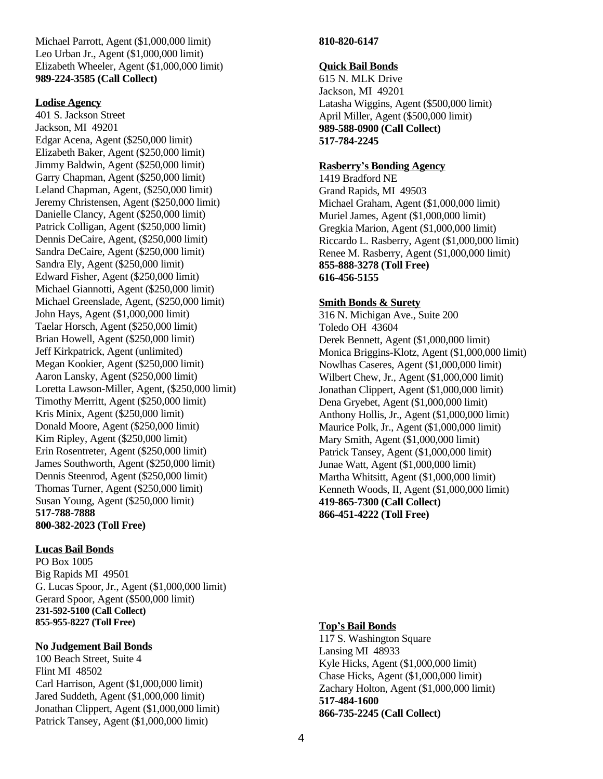Michael Parrott, Agent (\$1,000,000 limit) Leo Urban Jr., Agent (\$1,000,000 limit) Elizabeth Wheeler, Agent (\$1,000,000 limit) **989-224-3585 (Call Collect)**

#### **Lodise Agency**

401 S. Jackson Street Jackson, MI 49201 Edgar Acena, Agent (\$250,000 limit) Elizabeth Baker, Agent (\$250,000 limit) Jimmy Baldwin, Agent (\$250,000 limit) Garry Chapman, Agent (\$250,000 limit) Leland Chapman, Agent, (\$250,000 limit) Jeremy Christensen, Agent (\$250,000 limit) Danielle Clancy, Agent (\$250,000 limit) Patrick Colligan, Agent (\$250,000 limit) Dennis DeCaire, Agent, (\$250,000 limit) Sandra DeCaire, Agent (\$250,000 limit) Sandra Ely, Agent (\$250,000 limit) Edward Fisher, Agent (\$250,000 limit) Michael Giannotti, Agent (\$250,000 limit) Michael Greenslade, Agent, (\$250,000 limit) John Hays, Agent (\$1,000,000 limit) Taelar Horsch, Agent (\$250,000 limit) Brian Howell, Agent (\$250,000 limit) Jeff Kirkpatrick, Agent (unlimited) Megan Kookier, Agent (\$250,000 limit) Aaron Lansky, Agent (\$250,000 limit) Loretta Lawson-Miller, Agent, (\$250,000 limit) Timothy Merritt, Agent (\$250,000 limit) Kris Minix, Agent (\$250,000 limit) Donald Moore, Agent (\$250,000 limit) Kim Ripley, Agent (\$250,000 limit) Erin Rosentreter, Agent (\$250,000 limit) James Southworth, Agent (\$250,000 limit) Dennis Steenrod, Agent (\$250,000 limit) Thomas Turner, Agent (\$250,000 limit) Susan Young, Agent (\$250,000 limit) **517-788-7888 800-382-2023 (Toll Free)**

### **Lucas Bail Bonds**

PO Box 1005 Big Rapids MI 49501 G. Lucas Spoor, Jr., Agent (\$1,000,000 limit) Gerard Spoor, Agent (\$500,000 limit) **231-592-5100 (Call Collect) 855-955-8227 (Toll Free)**

### **No Judgement Bail Bonds**

100 Beach Street, Suite 4 Flint MI 48502 Carl Harrison, Agent (\$1,000,000 limit) Jared Suddeth, Agent (\$1,000,000 limit) Jonathan Clippert, Agent (\$1,000,000 limit) Patrick Tansey, Agent (\$1,000,000 limit)

### **810-820-6147**

### **Quick Bail Bonds**

615 N. MLK Drive Jackson, MI 49201 Latasha Wiggins, Agent (\$500,000 limit) April Miller, Agent (\$500,000 limit) **989-588-0900 (Call Collect) 517-784-2245**

### **Rasberry's Bonding Agency**

1419 Bradford NE Grand Rapids, MI 49503 Michael Graham, Agent (\$1,000,000 limit) Muriel James, Agent (\$1,000,000 limit) Gregkia Marion, Agent (\$1,000,000 limit) Riccardo L. Rasberry, Agent (\$1,000,000 limit) Renee M. Rasberry, Agent (\$1,000,000 limit) **855-888-3278 (Toll Free) 616-456-5155**

# **Smith Bonds & Surety**

316 N. Michigan Ave., Suite 200 Toledo OH 43604 Derek Bennett, Agent (\$1,000,000 limit) Monica Briggins-Klotz, Agent (\$1,000,000 limit) Nowlhas Caseres, Agent (\$1,000,000 limit) Wilbert Chew, Jr., Agent (\$1,000,000 limit) Jonathan Clippert, Agent (\$1,000,000 limit) Dena Gryebet, Agent (\$1,000,000 limit) Anthony Hollis, Jr., Agent (\$1,000,000 limit) Maurice Polk, Jr., Agent (\$1,000,000 limit) Mary Smith, Agent (\$1,000,000 limit) Patrick Tansey, Agent (\$1,000,000 limit) Junae Watt, Agent (\$1,000,000 limit) Martha Whitsitt, Agent (\$1,000,000 limit) Kenneth Woods, II, Agent (\$1,000,000 limit) **419-865-7300 (Call Collect) 866-451-4222 (Toll Free)**

### **Top's Bail Bonds**

117 S. Washington Square Lansing MI 48933 Kyle Hicks, Agent (\$1,000,000 limit) Chase Hicks, Agent (\$1,000,000 limit) Zachary Holton, Agent (\$1,000,000 limit) **517-484-1600 866-735-2245 (Call Collect)**